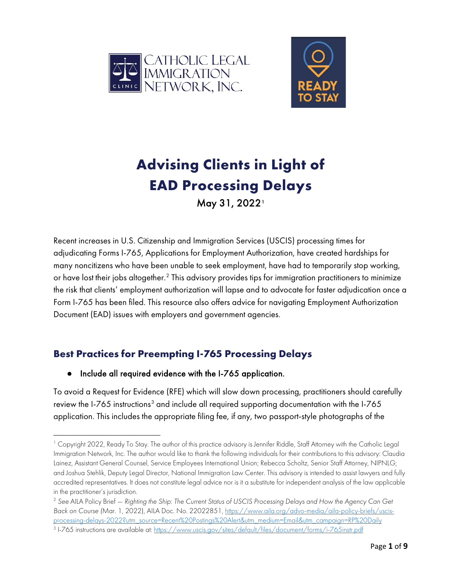



# **Advising Clients in Light of EAD Processing Delays**

May 3[1](#page-0-0), 2022<sup>1</sup>

Recent increases in U.S. Citizenship and Immigration Services (USCIS) processing times for adjudicating Forms I-765, Applications for Employment Authorization, have created hardships for many noncitizens who have been unable to seek employment, have had to temporarily stop working, or have lost their jobs altogether.<sup>[2](#page-0-1)</sup> This advisory provides tips for immigration practitioners to minimize the risk that clients' employment authorization will lapse and to advocate for faster adjudication once a Form I-765 has been filed. This resource also offers advice for navigating Employment Authorization Document (EAD) issues with employers and government agencies.

## **Best Practices for Preempting I-765 Processing Delays**

#### ● Include all required evidence with the I-765 application.

To avoid a Request for Evidence (RFE) which will slow down processing, practitioners should carefully review the I-765 instructions<sup>[3](#page-0-2)</sup> and include all required supporting documentation with the I-765 application. This includes the appropriate filing fee, if any, two passport-style photographs of the

<span id="page-0-0"></span><sup>1</sup> Copyright 2022, Ready To Stay. The author of this practice advisory is Jennifer Riddle, Staff Attorney with the Catholic Legal Immigration Network, Inc. The author would like to thank the following individuals for their contributions to this advisory: Claudia Lainez, Assistant General Counsel, Service Employees International Union; Rebecca Scholtz, Senior Staff Attorney, NIPNLG; and Joshua Stehlik, Deputy Legal Director, National Immigration Law Center. This advisory is intended to assist lawyers and fully accredited representatives. It does not constitute legal advice nor is it a substitute for independent analysis of the law applicable in the practitioner's jurisdiction.<br><sup>2</sup> See AILA Policy Brief — Righting the Ship: The Current Status of USCIS Processing Delays and How the Agency Can Get

<span id="page-0-1"></span>*Back on Course (*Mar. 1, 2022), AILA Doc. No. 22022851, [https://www.aila.org/advo-media/aila-policy-briefs/uscis](https://www.aila.org/advo-media/aila-policy-briefs/uscis-processing-delays-2022?utm_source=Recent%20Postings%20Alert&utm_medium=Email&utm_campaign=RP%20Daily)[processing-delays-2022?utm\\_source=Recent%20Postings%20Alert&utm\\_medium=Email&utm\\_campaign=RP%20Daily](https://www.aila.org/advo-media/aila-policy-briefs/uscis-processing-delays-2022?utm_source=Recent%20Postings%20Alert&utm_medium=Email&utm_campaign=RP%20Daily)

<span id="page-0-2"></span><sup>3</sup> I-765 instructions are available at:<https://www.uscis.gov/sites/default/files/document/forms/i-765instr.pdf>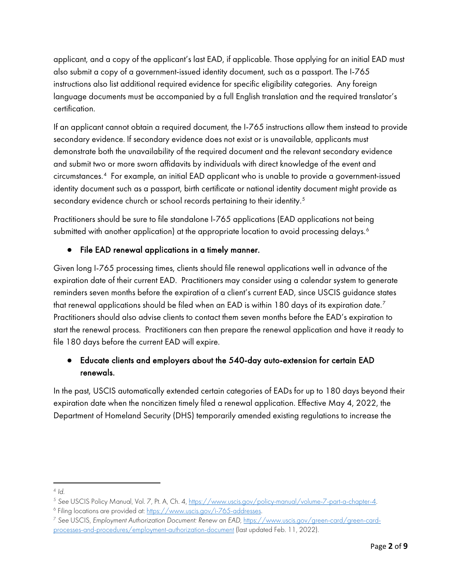applicant, and a copy of the applicant's last EAD, if applicable. Those applying for an initial EAD must also submit a copy of a government-issued identity document, such as a passport. The I-765 instructions also list additional required evidence for specific eligibility categories. Any foreign language documents must be accompanied by a full English translation and the required translator's certification.

If an applicant cannot obtain a required document, the I-765 instructions allow them instead to provide secondary evidence. If secondary evidence does not exist or is unavailable, applicants must demonstrate both the unavailability of the required document and the relevant secondary evidence and submit two or more sworn affidavits by individuals with direct knowledge of the event and circumstances.[4](#page-1-0) For example, an initial EAD applicant who is unable to provide a government-issued identity document such as a passport, birth certificate or national identity document might provide as secondary evidence church or school records pertaining to their identity. $^5$  $^5$ 

Practitioners should be sure to file standalone I-765 applications (EAD applications not being submitted with another application) at the appropriate location to avoid processing delays. $^{\circ}$ 

#### ● File EAD renewal applications in a timely manner.

Given long I-765 processing times, clients should file renewal applications well in advance of the expiration date of their current EAD. Practitioners may consider using a calendar system to generate reminders seven months before the expiration of a client's current EAD, since USCIS guidance states that renewal applications should be filed when an EAD is within 180 days of its expiration date. $^7$  $^7$ Practitioners should also advise clients to contact them seven months before the EAD's expiration to start the renewal process. Practitioners can then prepare the renewal application and have it ready to file 180 days before the current EAD will expire.

#### ● Educate clients and employers about the 540-day auto-extension for certain EAD renewals.

In the past, USCIS automatically extended certain categories of EADs for up to 180 days beyond their expiration date when the noncitizen timely filed a renewal application. Effective May 4, 2022, the Department of Homeland Security (DHS) temporarily amended existing regulations to increase the

<span id="page-1-1"></span><span id="page-1-0"></span><sup>&</sup>lt;sup>4</sup> Id.<br><sup>5</sup> See USCIS Policy Manual, Vol. 7, Pt. A, Ch. 4, <u>https://www.uscis.gov/policy-manual/volume-7-part-a-chapter-4</u><br><sup>6</sup> Filing locations are provided at: <u>https://www.uscis.gov/i-765-addresses</u>.<br><sup>7</sup> See USCIS, Emplo

<span id="page-1-2"></span>

<span id="page-1-3"></span>[processes-and-procedures/employment-authorization-document](https://www.uscis.gov/%E2%80%8Bgreen-card/%E2%80%8Bgreen-card-processes-and-procedures/%E2%80%8Bemployment-authorization-document) (last updated Feb. 11, 2022).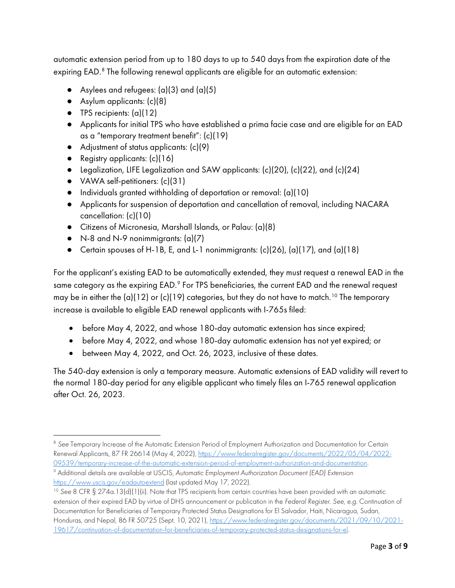automatic extension period from up to 180 days to up to 540 days from the expiration date of the expiring EAD. [8](#page-2-0) The following renewal applicants are eligible for an automatic extension:

- Asylees and refugees:  $(a)(3)$  and  $(a)(5)$
- Asylum applicants: (c)(8)
- $\bullet$  TPS recipients:  $(a)(12)$
- Applicants for initial TPS who have established a prima facie case and are eligible for an EAD as a "temporary treatment benefit": (c)(19)
- Adjustment of status applicants: (c)(9)
- Registry applicants:  $(c)(16)$
- Legalization, LIFE Legalization and SAW applicants: (c)(20), (c)(22), and (c)(24)
- VAWA self-petitioners: (c)(31)
- Individuals granted withholding of deportation or removal: (a)(10)
- Applicants for suspension of deportation and cancellation of removal, including NACARA cancellation: (c)(10)
- Citizens of Micronesia, Marshall Islands, or Palau: (a)(8)
- $\bullet$  N-8 and N-9 nonimmigrants:  $(a)(7)$
- Certain spouses of H-1B, E, and L-1 nonimmigrants: (c)(26), (a)(17), and (a)(18)

For the applicant's existing EAD to be automatically extended, they must request a renewal EAD in the same category as the expiring EAD.<sup>[9](#page-2-1)</sup> For TPS beneficiaries, the current EAD and the renewal request may be in either the (a)(12) or (c)(19) categories, but they do not have to match.<sup>[10](#page-2-2)</sup> The temporary increase is available to eligible EAD renewal applicants with I-765s filed:

- before May 4, 2022, and whose 180-day automatic extension has since expired;
- before May 4, 2022, and whose 180-day automatic extension has not yet expired; or
- between May 4, 2022, and Oct. 26, 2023, inclusive of these dates.

The 540-day extension is only a temporary measure. Automatic extensions of EAD validity will revert to the normal 180-day period for any eligible applicant who timely files an I-765 renewal application after Oct. 26, 2023.

<span id="page-2-0"></span><sup>8</sup> *See* Temporary Increase of the Automatic Extension Period of Employment Authorization and Documentation for Certain Renewal Applicants, 87 FR 26614 (May 4, 2022), [https://www.federalregister.gov/documents/2022/05/04/2022-](https://www.federalregister.gov/documents/2022/05/04/2022-09539/temporary-increase-of-the-automatic-extension-period-of-employment-authorization-and-documentation) [09539/temporary-increase-of-the-automatic-extension-period-of-employment-authorization-and-documentation.](https://www.federalregister.gov/documents/2022/05/04/2022-09539/temporary-increase-of-the-automatic-extension-period-of-employment-authorization-and-documentation) 9 Additional details are available at USCIS, *Automatic Employment Authorization Document (EAD) Extension* https://www.uscis.gov/eadautoextend (last updated May 17, 2022).<br><sup>10</sup> See 8 CFR § 274a.13(d)(1)(ii). Note that TPS recipients from certain countries have been provided with an automatic

<span id="page-2-2"></span><span id="page-2-1"></span>extension of their expired EAD by virtue of DHS announcement or publication in the *Federal Register*. *See, e.g.* Continuation of Documentation for Beneficiaries of Temporary Protected Status Designations for El Salvador, Haiti, Nicaragua, Sudan, Honduras, and Nepal, 86 FR 50725 (Sept. 10, 2021), [https://www.federalregister.gov/documents/2021/09/10/2021-](https://www.federalregister.gov/documents/2021/09/10/2021-19617/continuation-of-documentation-for-beneficiaries-of-temporary-protected-status-designations-for-el) [19617/continuation-of-documentation-for-beneficiaries-of-temporary-protected-status-designations-for-el.](https://www.federalregister.gov/documents/2021/09/10/2021-19617/continuation-of-documentation-for-beneficiaries-of-temporary-protected-status-designations-for-el)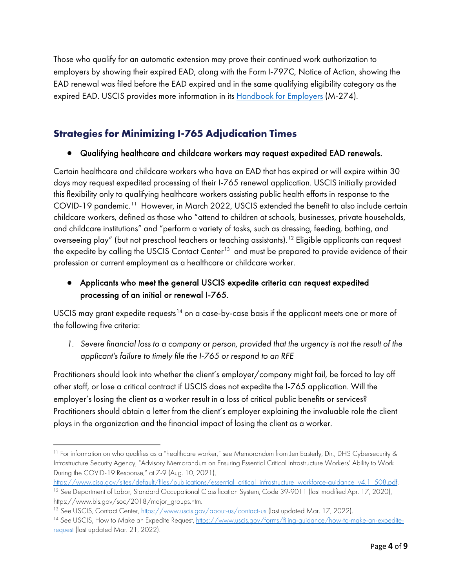Those who qualify for an automatic extension may prove their continued work authorization to employers by showing their expired EAD, along with the Form I-797C, Notice of Action, showing the EAD renewal was filed before the EAD expired and in the same qualifying eligibility category as the expired EAD. USCIS provides more information in its [Handbook for Employers](https://www.uscis.gov/i-9-central/form-i-9-resources/handbook-for-employers-m-274/40-completing-section-2-of-form-i-9/44-automatic-extensions-of-employment-authorization-documents-eads-in-certain-circumstances) (M-274).

### **Strategies for Minimizing I-765 Adjudication Times**

#### ● Qualifying healthcare and childcare workers may request expedited EAD renewals.

Certain healthcare and childcare workers who have an EAD that has expired or will expire within 30 days may request expedited processing of their I-765 renewal application. USCIS initially provided this flexibility only to qualifying healthcare workers assisting public health efforts in response to the COVID-19 pandemic.<sup>[11](#page-3-0)</sup> However, in March 2022, USCIS extended the benefit to also include certain childcare workers, defined as those who "attend to children at schools, businesses, private households, and childcare institutions" and "perform a variety of tasks, such as dressing, feeding, bathing, and overseeing play" (but not preschool teachers or teaching assistants).<sup>[12](#page-3-1)</sup> Eligible applicants can request the expedite by calling the USCIS Contact Center<sup>13</sup> and must be prepared to provide evidence of their profession or current employment as a healthcare or childcare worker.

#### ● Applicants who meet the general USCIS expedite criteria can request expedited processing of an initial or renewal I-765.

USCIS may grant expedite requests<sup>[14](#page-3-3)</sup> on a case-by-case basis if the applicant meets one or more of the following five criteria:

*1. Severe financial loss to a company or person, provided that the urgency is not the result of the applicant's failure to timely file the I-765 or respond to an RFE*

Practitioners should look into whether the client's employer/company might fail, be forced to lay off other staff, or lose a critical contract if USCIS does not expedite the I-765 application. Will the employer's losing the client as a worker result in a loss of critical public benefits or services? Practitioners should obtain a letter from the client's employer explaining the invaluable role the client plays in the organization and the financial impact of losing the client as a worker.

<span id="page-3-0"></span><sup>&</sup>lt;sup>11</sup> For information on who qualifies as a "healthcare worker," see Memorandum from Jen Easterly, Dir., DHS Cybersecurity & Infrastructure Security Agency, "Advisory Memorandum on Ensuring Essential Critical Infrastructure Workers' Ability to Work During the COVID-19 Response,[" at](https://www.cisa.gov/sites/default/files/publications/essential_critical_infrastructure_workforce-guidance_v4.1_508.pdf) 7-9 (Aug. 10, 2021),

<span id="page-3-1"></span>https://www.cisa.gov/sites/default/files/publications/essential\_critical\_infrastructure\_workforce-guidance\_v4.1\_508.pdf.<br><sup>12</sup> See Department of Labor[, Standard Occupational Classification System, C](https://www.bls.gov/soc/2018/major_groups.htm)ode 39-9011 (last modifie

<span id="page-3-2"></span>https://www.bls.gov/soc/2018/major\_groups.htm.<br><sup>13</sup> See USCIS, Contact Center, <u>https://www.uscis.gov/about-us/contact-us</u> (last updated Mar. 17, 2022).

<span id="page-3-3"></span><sup>14</sup> *See* USCIS, How to Make an Expedite Request, [https://www.uscis.gov/forms/filing-guidance/how-to-make-an-expedite](https://www.uscis.gov/forms/filing-guidance/how-to-make-an-expedite-request)[request](https://www.uscis.gov/forms/filing-guidance/how-to-make-an-expedite-request) (last updated Mar. 21, 2022).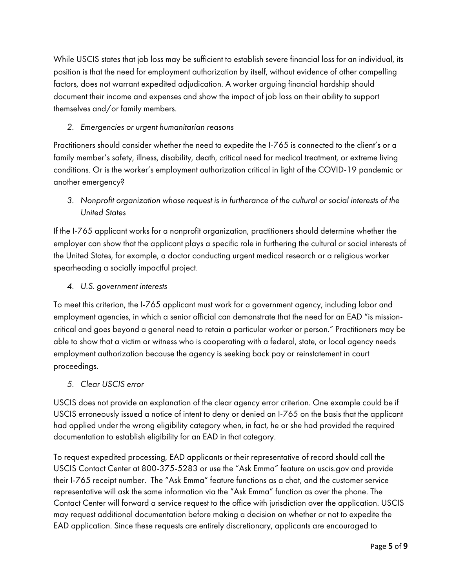While USCIS states that job loss may be sufficient to establish severe financial loss for an individual, its position is that the need for employment authorization by itself, without evidence of other compelling factors, does not warrant expedited adjudication. A worker arguing financial hardship should document their income and expenses and show the impact of job loss on their ability to support themselves and/or family members.

#### *2. Emergencies or urgent humanitarian reasons*

Practitioners should consider whether the need to expedite the I-765 is connected to the client's or a family member's safety, illness, disability, death, critical need for medical treatment, or extreme living conditions. Or is the worker's employment authorization critical in light of the COVID-19 pandemic or another emergency?

*3. Nonprofit organization whose request is in furtherance of the cultural or social interests of the United States*

If the I-765 applicant works for a nonprofit organization, practitioners should determine whether the employer can show that the applicant plays a specific role in furthering the cultural or social interests of the United States, for example, a doctor conducting urgent medical research or a religious worker spearheading a socially impactful project.

*4. U.S. government interests*

To meet this criterion, the I-765 applicant must work for a government agency, including labor and employment agencies, in which a senior official can demonstrate that the need for an EAD "is missioncritical and goes beyond a general need to retain a particular worker or person." Practitioners may be able to show that a victim or witness who is cooperating with a federal, state, or local agency needs employment authorization because the agency is seeking back pay or reinstatement in court proceedings.

*5. Clear USCIS error*

USCIS does not provide an explanation of the clear agency error criterion. One example could be if USCIS erroneously issued a notice of intent to deny or denied an I-765 on the basis that the applicant had applied under the wrong eligibility category when, in fact, he or she had provided the required documentation to establish eligibility for an EAD in that category.

To request expedited processing, EAD applicants or their representative of record should call the USCIS Contact Center at 800-375-5283 or use the "Ask Emma" feature on uscis.gov and provide their I-765 receipt number. The "Ask Emma" feature functions as a chat, and the customer service representative will ask the same information via the "Ask Emma" function as over the phone. The Contact Center will forward a service request to the office with jurisdiction over the application. USCIS may request additional documentation before making a decision on whether or not to expedite the EAD application. Since these requests are entirely discretionary, applicants are encouraged to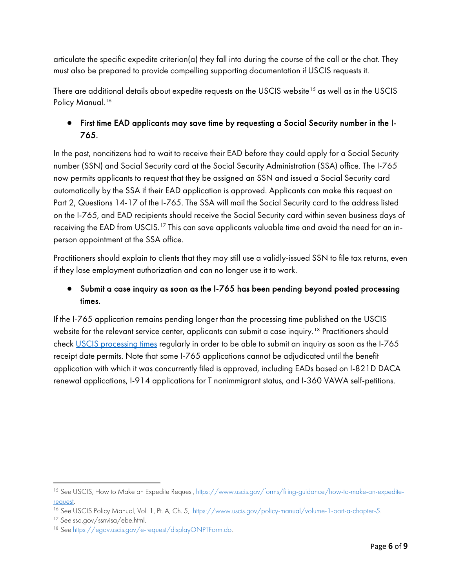articulate the specific expedite criterion(a) they fall into during the course of the call or the chat. They must also be prepared to provide compelling supporting documentation if USCIS requests it.

There are additional details about expedite requests on the USCIS website<sup>[15](#page-5-0)</sup> as well as in the USCIS Policy Manual.<sup>[16](#page-5-1)</sup>

#### ● First time EAD applicants may save time by requesting a Social Security number in the I-765.

In the past, noncitizens had to wait to receive their EAD before they could apply for a Social Security number (SSN) and Social Security card at the Social Security Administration (SSA) office. The I-765 now permits applicants to request that they be assigned an SSN and issued a Social Security card automatically by the SSA if their EAD application is approved. Applicants can make this request on Part 2, Questions 14-17 of the I-765. The SSA will mail the Social Security card to the address listed on the I-765, and EAD recipients should receive the Social Security card within seven business days of receiving the EAD from USCIS.<sup>[17](#page-5-2)</sup> This can save applicants valuable time and avoid the need for an inperson appointment at the SSA office.

Practitioners should explain to clients that they may still use a validly-issued SSN to file tax returns, even if they lose employment authorization and can no longer use it to work.

#### ● Submit a case inquiry as soon as the I-765 has been pending beyond posted processing times.

If the I-765 application remains pending longer than the processing time published on the USCIS website for the relevant service center, applicants can submit a case inquiry.<sup>18</sup> Practitioners should check [USCIS processing times](https://egov.uscis.gov/processing-times/) regularly in order to be able to submit an inquiry as soon as the I-765 receipt date permits. Note that some I-765 applications cannot be adjudicated until the benefit application with which it was concurrently filed is approved, including EADs based on I-821D DACA renewal applications, I-914 applications for T nonimmigrant status, and I-360 VAWA self-petitions.

<span id="page-5-0"></span><sup>15</sup> *See* USCIS, How to Make an Expedite Request, [https://www.uscis.gov/forms/filing-guidance/how-to-make-an-expedite](https://www.uscis.gov/forms/filing-guidance/how-to-make-an-expedite-request)[request.](https://www.uscis.gov/forms/filing-guidance/how-to-make-an-expedite-request)<br><sup>16</sup> See USCIS Policy Manual, Vol. 1, Pt. A, Ch. 5, <u>https://www.uscis.gov/policy-manual/volume-1-part-a-chapter-5.</u>

<span id="page-5-1"></span>

<span id="page-5-2"></span><sup>17</sup> *See* ssa.gov/ssnvisa/ebe.html.

<span id="page-5-3"></span><sup>18</sup> *See* [https://egov.uscis.gov/e-request/displayONPTForm.do.](https://egov.uscis.gov/e-request/displayONPTForm.do)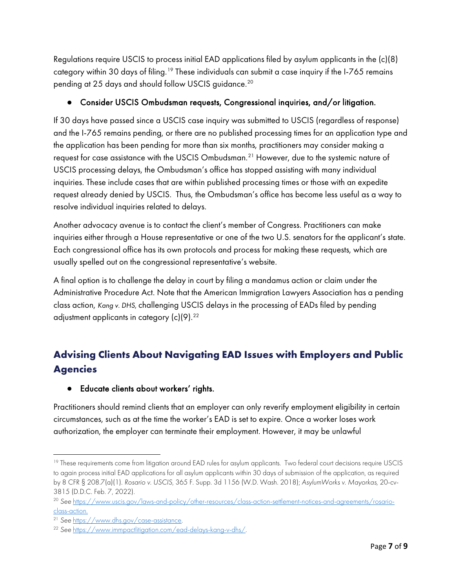Regulations require USCIS to process initial EAD applications filed by asylum applicants in the (c)(8) category within 30 days of filing.<sup>[19](#page-6-0)</sup> These individuals can submit a case inquiry if the I-765 remains pending at 25 days and should follow USCIS guidance.<sup>[20](#page-6-1)</sup>

#### ● Consider USCIS Ombudsman requests, Congressional inquiries, and/or litigation.

If 30 days have passed since a USCIS case inquiry was submitted to USCIS (regardless of response) and the I-765 remains pending, or there are no published processing times for an application type and the application has been pending for more than six months, practitioners may consider making a request for case assistance with the USCIS Ombudsman.<sup>[21](#page-6-2)</sup> However, due to the systemic nature of USCIS processing delays, the Ombudsman's office has stopped assisting with many individual inquiries. These include cases that are within published processing times or those with an expedite request already denied by USCIS. Thus, the Ombudsman's office has become less useful as a way to resolve individual inquiries related to delays.

Another advocacy avenue is to contact the client's member of Congress. Practitioners can make inquiries either through a House representative or one of the two U.S. senators for the applicant's state. Each congressional office has its own protocols and process for making these requests, which are usually spelled out on the congressional representative's website.

A final option is to challenge the delay in court by filing a mandamus action or claim under the Administrative Procedure Act. Note that the American Immigration Lawyers Association has a pending class action, *Kang v. DHS*, challenging USCIS delays in the processing of EADs filed by pending adjustment applicants in category  $(c)(9)$ .<sup>22</sup>

# **Advising Clients About Navigating EAD Issues with Employers and Public Agencies**

● Educate clients about workers' rights.

Practitioners should remind clients that an employer can only reverify employment eligibility in certain circumstances, such as at the time the worker's EAD is set to expire. Once a worker loses work authorization, the employer can terminate their employment. However, it may be unlawful

<span id="page-6-0"></span><sup>&</sup>lt;sup>19</sup> These requirements come from litigation around EAD rules for asylum applicants. Two federal court decisions require USCIS to again process initial EAD applications for all asylum applicants within 30 days of submission of the application, as required by 8 CFR § 208.7(a)(1). *Rosario v. USCIS*, 365 F. Supp. 3d 1156 (W.D. Wash. 2018); *AsylumWorks v. Mayorkas,* 20-cv-3815 (D.D.C. Feb. 7, 2022).

<span id="page-6-1"></span><sup>20</sup> *See* [https://www.uscis.gov/laws-and-policy/other-resources/class-action-settlement-notices-and-agreements/rosario](https://www.uscis.gov/laws-and-policy/other-resources/class-action-settlement-notices-and-agreements/rosario-class-action)[class-action.](https://www.uscis.gov/laws-and-policy/other-resources/class-action-settlement-notices-and-agreements/rosario-class-action) 21 *See* [https://www.dhs.gov/case-assistance.](https://www.dhs.gov/case-assistance) 22 *See* [https://www.immpactlitigation.com/ead-delays-kang-v-dhs/.](https://www.immpactlitigation.com/ead-delays-kang-v-dhs/) 

<span id="page-6-2"></span>

<span id="page-6-3"></span>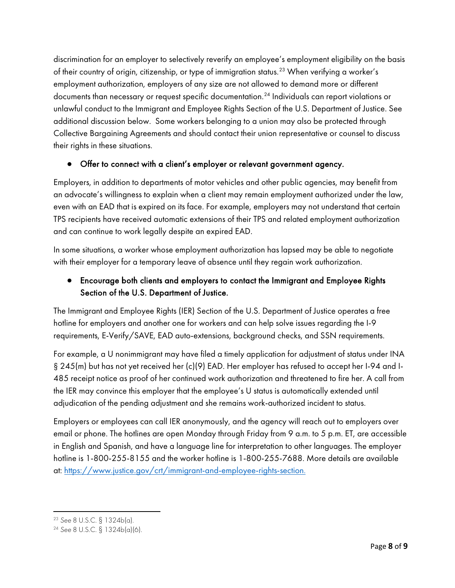discrimination for an employer to selectively reverify an employee's employment eligibility on the basis of their country of origin, citizenship, or type of immigration status.<sup>[23](#page-7-0)</sup> When verifying a worker's employment authorization, employers of any size are not allowed to demand more or different documents than necessary or request specific documentation.[24](#page-7-1) Individuals can report violations or unlawful conduct to the Immigrant and Employee Rights Section of the U.S. Department of Justice. See additional discussion below. Some workers belonging to a union may also be protected through Collective Bargaining Agreements and should contact their union representative or counsel to discuss their rights in these situations.

#### ● Offer to connect with a client's employer or relevant government agency.

Employers, in addition to departments of motor vehicles and other public agencies, may benefit from an advocate's willingness to explain when a client may remain employment authorized under the law, even with an EAD that is expired on its face. For example, employers may not understand that certain TPS recipients have received automatic extensions of their TPS and related employment authorization and can continue to work legally despite an expired EAD.

In some situations, a worker whose employment authorization has lapsed may be able to negotiate with their employer for a temporary leave of absence until they regain work authorization.

#### ● Encourage both clients and employers to contact the Immigrant and Employee Rights Section of the U.S. Department of Justice.

The Immigrant and Employee Rights (IER) Section of the U.S. Department of Justice operates a free hotline for employers and another one for workers and can help solve issues regarding the I-9 requirements, E-Verify/SAVE, EAD auto-extensions, background checks, and SSN requirements.

For example, a U nonimmigrant may have filed a timely application for adjustment of status under INA § 245(m) but has not yet received her (c)(9) EAD. Her employer has refused to accept her I-94 and I-485 receipt notice as proof of her continued work authorization and threatened to fire her. A call from the IER may convince this employer that the employee's U status is automatically extended until adjudication of the pending adjustment and she remains work-authorized incident to status.

Employers or employees can call IER anonymously, and the agency will reach out to employers over email or phone. The hotlines are open Monday through Friday from 9 a.m. to 5 p.m. ET, are accessible in English and Spanish, and have a language line for interpretation to other languages. The employer hotline is 1-800-255-8155 and the worker hotline is 1-800-255-7688. More details are available at: [https://www.justice.gov/crt/immigrant-and-employee-rights-section.](https://www.justice.gov/crt/immigrant-and-employee-rights-section)

<span id="page-7-1"></span><span id="page-7-0"></span><sup>23</sup> *See* 8 U.S.C. § 1324b(a). 24 *See* 8 U.S.C. § 1324b(a)(6).